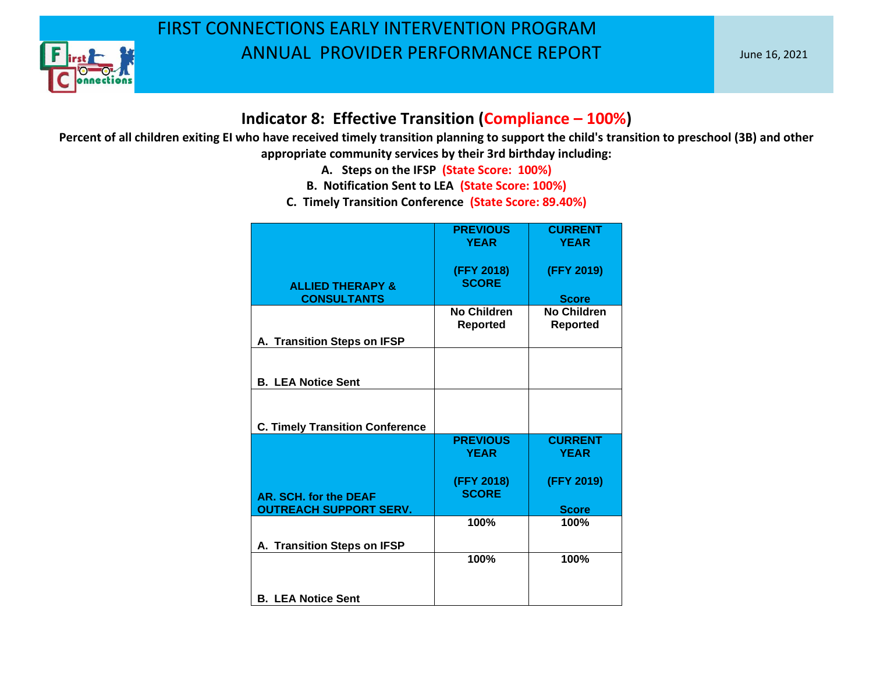

#### **Indicator 8: Effective Transition (Compliance – 100%)**

- **A. Steps on the IFSP (State Score: 100%)**
- **B. Notification Sent to LEA (State Score: 100%)**
- **C. Timely Transition Conference (State Score: 89.40%)**

|                                        | <b>PREVIOUS</b><br><b>YEAR</b>        | <b>CURRENT</b><br><b>YEAR</b>         |
|----------------------------------------|---------------------------------------|---------------------------------------|
| <b>ALLIED THERAPY &amp;</b>            | (FFY 2018)<br><b>SCORE</b>            | (FFY 2019)                            |
| <b>CONSULTANTS</b>                     |                                       | <b>Score</b>                          |
|                                        | <b>No Children</b><br><b>Reported</b> | <b>No Children</b><br><b>Reported</b> |
| A. Transition Steps on IFSP            |                                       |                                       |
| <b>B. LEA Notice Sent</b>              |                                       |                                       |
|                                        |                                       |                                       |
| <b>C. Timely Transition Conference</b> |                                       |                                       |
|                                        | <b>PREVIOUS</b>                       | <b>CURRENT</b>                        |
|                                        | <b>YEAR</b>                           | <b>YEAR</b>                           |
|                                        |                                       |                                       |
| AR. SCH. for the DEAF                  | (FFY 2018)<br><b>SCORE</b>            | (FFY 2019)                            |
| <b>OUTREACH SUPPORT SERV.</b>          |                                       | <b>Score</b>                          |
|                                        | 100%                                  | 100%                                  |
|                                        |                                       |                                       |
| A. Transition Steps on IFSP            |                                       |                                       |
|                                        | 100%                                  | 100%                                  |
|                                        |                                       |                                       |
|                                        |                                       |                                       |
| <b>B. LEA Notice Sent</b>              |                                       |                                       |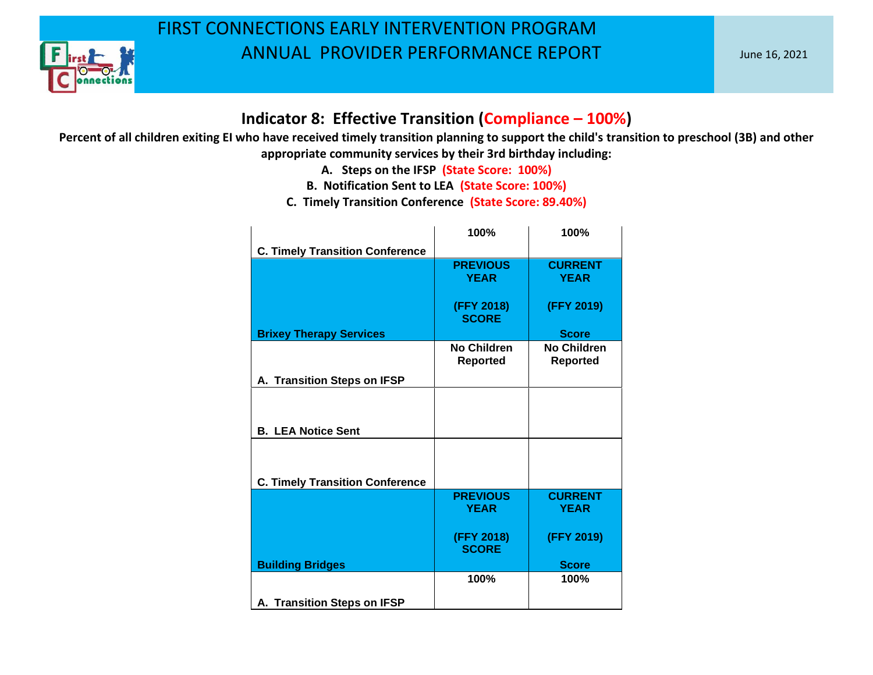

#### **Indicator 8: Effective Transition (Compliance – 100%)**

- **A. Steps on the IFSP (State Score: 100%)**
- **B. Notification Sent to LEA (State Score: 100%)**
- **C. Timely Transition Conference (State Score: 89.40%)**

|                                        | 100%                           | 100%                                  |
|----------------------------------------|--------------------------------|---------------------------------------|
| <b>C. Timely Transition Conference</b> |                                |                                       |
|                                        | <b>PREVIOUS</b><br><b>YEAR</b> | <b>CURRENT</b><br><b>YEAR</b>         |
|                                        | (FFY 2018)<br><b>SCORE</b>     | (FFY 2019)                            |
| <b>Brixey Therapy Services</b>         |                                | <b>Score</b>                          |
|                                        | No Children<br><b>Reported</b> | <b>No Children</b><br><b>Reported</b> |
| A. Transition Steps on IFSP            |                                |                                       |
| <b>B. LEA Notice Sent</b>              |                                |                                       |
| <b>C. Timely Transition Conference</b> |                                |                                       |
|                                        | <b>PREVIOUS</b><br><b>YEAR</b> | <b>CURRENT</b><br><b>YEAR</b>         |
|                                        | (FFY 2018)<br><b>SCORE</b>     | (FFY 2019)                            |
| <b>Building Bridges</b>                |                                | <b>Score</b>                          |
|                                        | 100%                           | 100%                                  |
| A. Transition Steps on IFSP            |                                |                                       |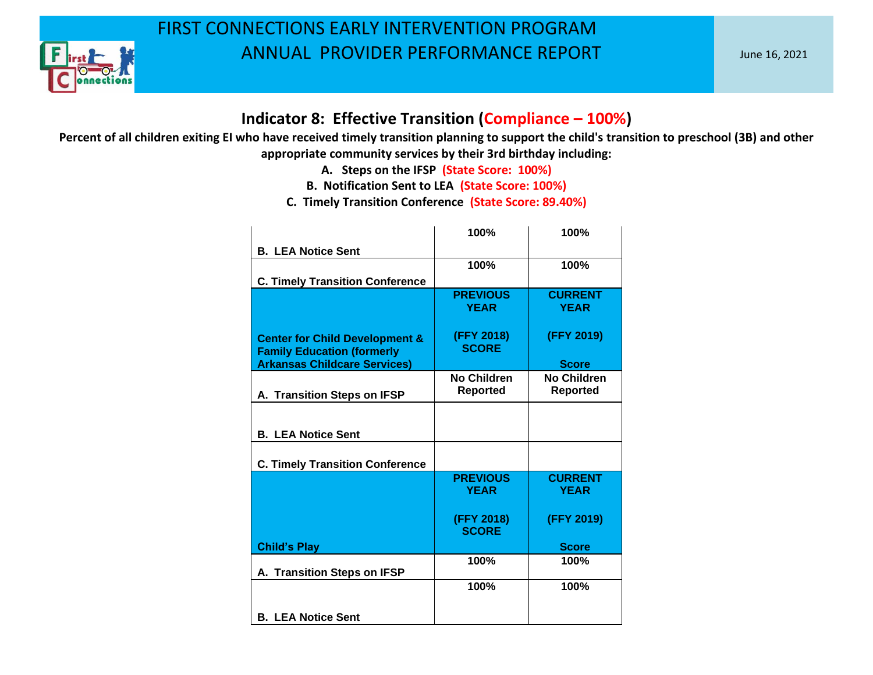

#### **Indicator 8: Effective Transition (Compliance – 100%)**

- **A. Steps on the IFSP (State Score: 100%)**
- **B. Notification Sent to LEA (State Score: 100%)**
- **C. Timely Transition Conference (State Score: 89.40%)**

|                                                                                                                       | 100%                           | 100%                               |
|-----------------------------------------------------------------------------------------------------------------------|--------------------------------|------------------------------------|
| <b>B. LEA Notice Sent</b>                                                                                             |                                |                                    |
|                                                                                                                       | 100%                           | 100%                               |
| <b>C. Timely Transition Conference</b>                                                                                |                                |                                    |
|                                                                                                                       | <b>PREVIOUS</b><br><b>YEAR</b> | <b>CURRENT</b><br><b>YEAR</b>      |
| <b>Center for Child Development &amp;</b><br><b>Family Education (formerly</b><br><b>Arkansas Childcare Services)</b> | (FFY 2018)<br><b>SCORE</b>     | (FFY 2019)                         |
|                                                                                                                       | <b>No Children</b>             | <b>Score</b><br><b>No Children</b> |
| A. Transition Steps on IFSP                                                                                           | <b>Reported</b>                | <b>Reported</b>                    |
| <b>B. LEA Notice Sent</b>                                                                                             |                                |                                    |
| <b>C. Timely Transition Conference</b>                                                                                |                                |                                    |
|                                                                                                                       | <b>PREVIOUS</b><br><b>YEAR</b> | <b>CURRENT</b><br><b>YEAR</b>      |
|                                                                                                                       | (FFY 2018)<br><b>SCORE</b>     | (FFY 2019)                         |
| <b>Child's Play</b>                                                                                                   |                                | <b>Score</b>                       |
| A. Transition Steps on IFSP                                                                                           | 100%                           | 100%                               |
|                                                                                                                       | 100%                           | 100%                               |
| <b>B. LEA Notice Sent</b>                                                                                             |                                |                                    |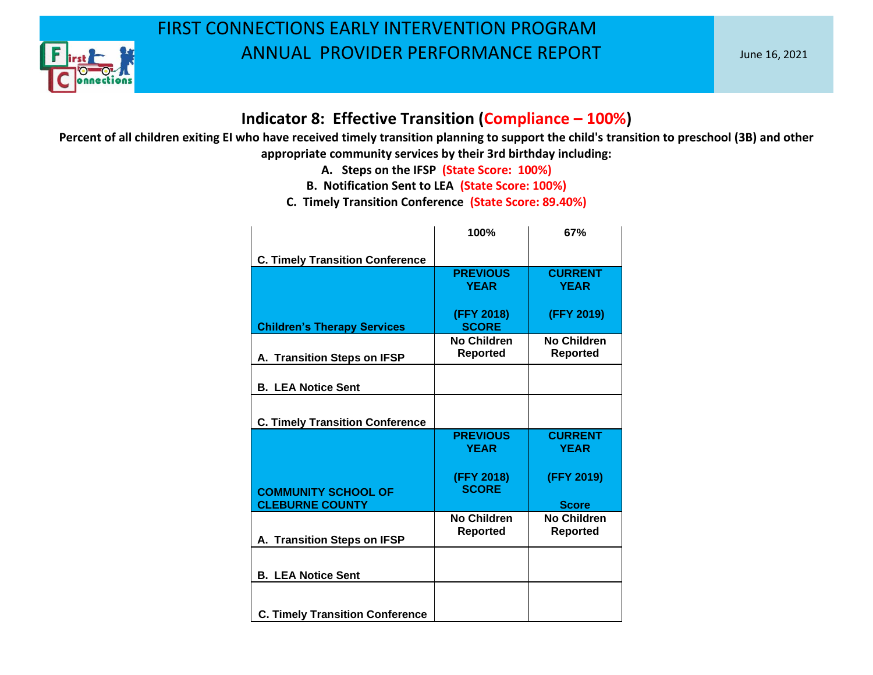

#### **Indicator 8: Effective Transition (Compliance – 100%)**

**Percent of all children exiting EI who have received timely transition planning to support the child's transition to preschool (3B) and other appropriate community services by their 3rd birthday including:**

**A. Steps on the IFSP (State Score: 100%)**

**B. Notification Sent to LEA (State Score: 100%)**

**C. Timely Transition Conference (State Score: 89.40%)**

|                                        | 100%                                  | 67%                                   |
|----------------------------------------|---------------------------------------|---------------------------------------|
| <b>C. Timely Transition Conference</b> |                                       |                                       |
|                                        | <b>PREVIOUS</b><br><b>YEAR</b>        | <b>CURRENT</b><br><b>YEAR</b>         |
| <b>Children's Therapy Services</b>     | (FFY 2018)<br><b>SCORE</b>            | (FFY 2019)                            |
| A. Transition Steps on IFSP            | No Children<br><b>Reported</b>        | No Children<br><b>Reported</b>        |
| <b>B. LEA Notice Sent</b>              |                                       |                                       |
| <b>C. Timely Transition Conference</b> |                                       |                                       |
|                                        | <b>PREVIOUS</b><br><b>YEAR</b>        | <b>CURRENT</b><br><b>YEAR</b>         |
| <b>COMMUNITY SCHOOL OF</b>             | (FFY 2018)<br><b>SCORE</b>            | (FFY 2019)                            |
| <b>CLEBURNE COUNTY</b>                 |                                       | <b>Score</b>                          |
| A. Transition Steps on IFSP            | <b>No Children</b><br><b>Reported</b> | <b>No Children</b><br><b>Reported</b> |
| <b>B. LEA Notice Sent</b>              |                                       |                                       |
| <b>C. Timely Transition Conference</b> |                                       |                                       |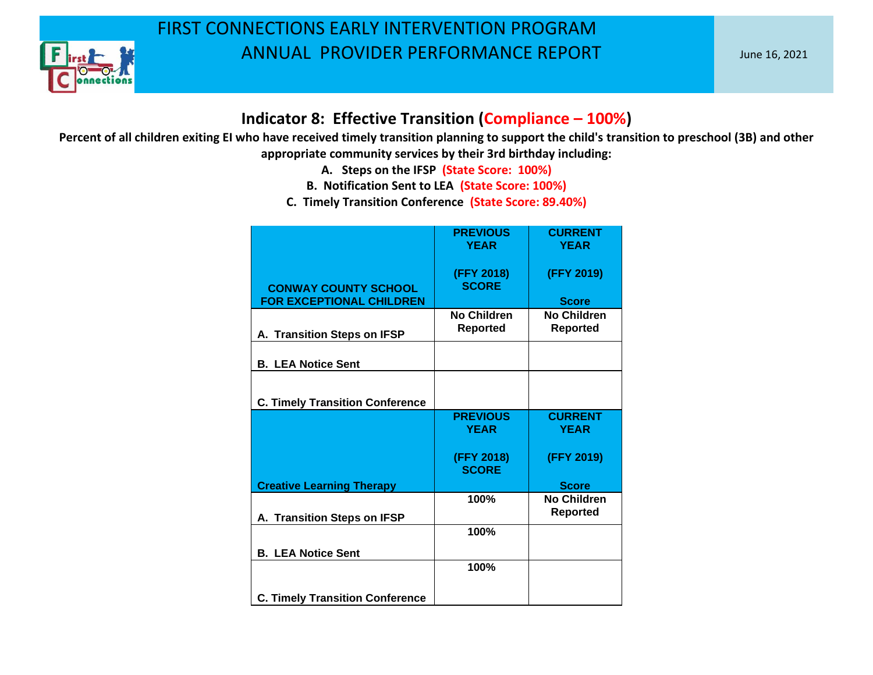

#### **Indicator 8: Effective Transition (Compliance – 100%)**

- **A. Steps on the IFSP (State Score: 100%)**
- **B. Notification Sent to LEA (State Score: 100%)**
- **C. Timely Transition Conference (State Score: 89.40%)**

|                                        | <b>PREVIOUS</b>            | <b>CURRENT</b>     |
|----------------------------------------|----------------------------|--------------------|
|                                        | <b>YEAR</b>                | <b>YEAR</b>        |
| <b>CONWAY COUNTY SCHOOL</b>            | (FFY 2018)<br><b>SCORE</b> | (FFY 2019)         |
| <b>FOR EXCEPTIONAL CHILDREN</b>        |                            | <b>Score</b>       |
|                                        | No Children                | No Children        |
| A. Transition Steps on IFSP            | <b>Reported</b>            | <b>Reported</b>    |
|                                        |                            |                    |
| <b>B. LEA Notice Sent</b>              |                            |                    |
|                                        |                            |                    |
| <b>C. Timely Transition Conference</b> |                            |                    |
|                                        | <b>PREVIOUS</b>            | <b>CURRENT</b>     |
|                                        | <b>YEAR</b>                | <b>YEAR</b>        |
|                                        |                            |                    |
|                                        | (FFY 2018)<br><b>SCORE</b> | (FFY 2019)         |
| <b>Creative Learning Therapy</b>       |                            | <b>Score</b>       |
|                                        | 100%                       | <b>No Children</b> |
| A. Transition Steps on IFSP            |                            | <b>Reported</b>    |
|                                        | 100%                       |                    |
| <b>B. LEA Notice Sent</b>              |                            |                    |
|                                        | 100%                       |                    |
| <b>C. Timely Transition Conference</b> |                            |                    |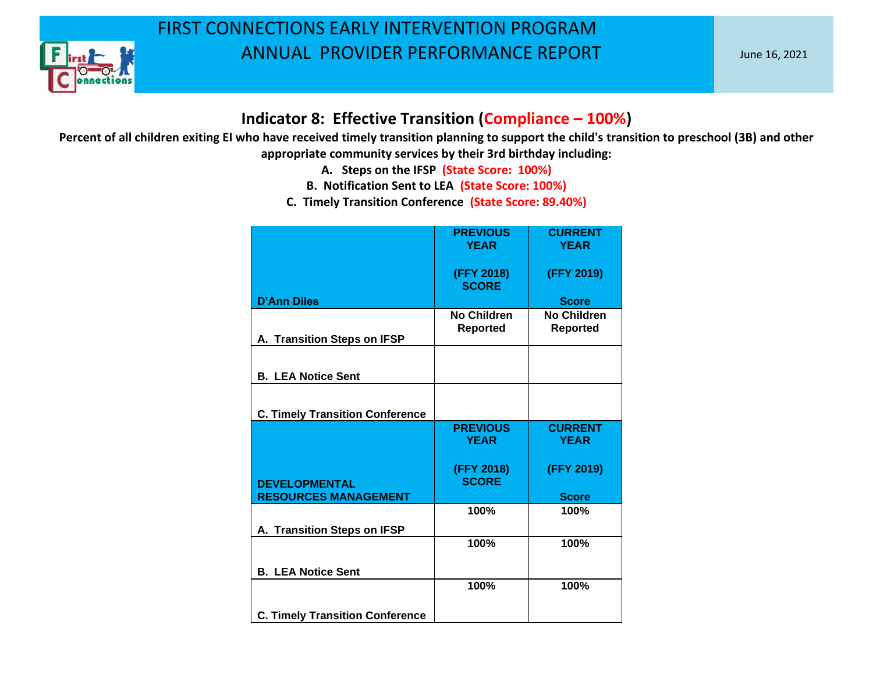

#### **Indicator 8: Effective Transition (Compliance – 100%)**

- **A. Steps on the IFSP (State Score: 100%)**
- **B. Notification Sent to LEA (State Score: 100%)**
- **C. Timely Transition Conference (State Score: 89.40%)**

|                                        | <b>PREVIOUS</b>                       | <b>CURRENT</b>                        |
|----------------------------------------|---------------------------------------|---------------------------------------|
|                                        | <b>YEAR</b>                           | <b>YEAR</b>                           |
|                                        | (FFY 2018)<br><b>SCORE</b>            | (FFY 2019)                            |
| <b>D'Ann Diles</b>                     |                                       | <b>Score</b>                          |
| A. Transition Steps on IFSP            | <b>No Children</b><br><b>Reported</b> | <b>No Children</b><br><b>Reported</b> |
| <b>B. LEA Notice Sent</b>              |                                       |                                       |
|                                        |                                       |                                       |
| <b>C. Timely Transition Conference</b> |                                       |                                       |
|                                        | <b>PREVIOUS</b>                       | <b>CURRENT</b>                        |
|                                        | <b>YEAR</b>                           | <b>YEAR</b>                           |
| <b>DEVELOPMENTAL</b>                   | (FFY 2018)<br><b>SCORE</b>            | (FFY 2019)                            |
| <b>RESOURCES MANAGEMENT</b>            |                                       | <b>Score</b>                          |
|                                        | 100%                                  | 100%                                  |
| A. Transition Steps on IFSP            |                                       |                                       |
| <b>B. LEA Notice Sent</b>              | 100%                                  | 100%                                  |
|                                        | 100%                                  | 100%                                  |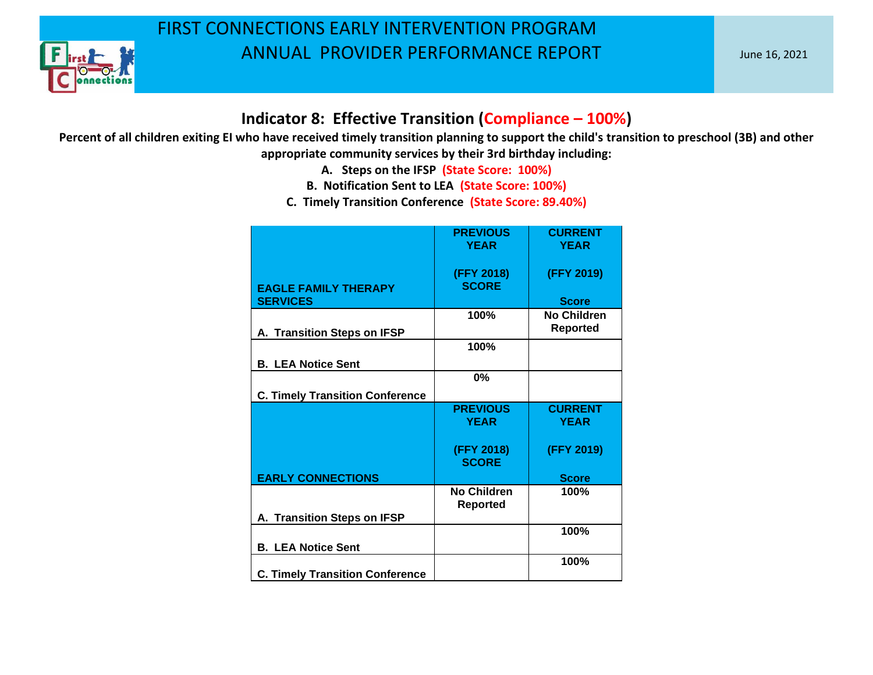

#### **Indicator 8: Effective Transition (Compliance – 100%)**

- **A. Steps on the IFSP (State Score: 100%)**
- **B. Notification Sent to LEA (State Score: 100%)**
- **C. Timely Transition Conference (State Score: 89.40%)**

|                                                | <b>PREVIOUS</b><br><b>YEAR</b>        | <b>CURRENT</b><br><b>YEAR</b> |
|------------------------------------------------|---------------------------------------|-------------------------------|
| <b>EAGLE FAMILY THERAPY</b><br><b>SERVICES</b> | (FFY 2018)<br><b>SCORE</b>            | (FFY 2019)<br><b>Score</b>    |
|                                                | 100%                                  | No Children                   |
| A. Transition Steps on IFSP                    |                                       | Reported                      |
|                                                | 100%                                  |                               |
| <b>B. LEA Notice Sent</b>                      |                                       |                               |
|                                                | 0%                                    |                               |
| <b>C. Timely Transition Conference</b>         |                                       |                               |
|                                                | <b>PREVIOUS</b><br><b>YEAR</b>        | <b>CURRENT</b><br><b>YEAR</b> |
|                                                | (FFY 2018)<br><b>SCORE</b>            | (FFY 2019)                    |
| <b>EARLY CONNECTIONS</b>                       |                                       | <b>Score</b>                  |
|                                                | <b>No Children</b><br><b>Reported</b> | 100%                          |
| A. Transition Steps on IFSP                    |                                       |                               |
| <b>B. LEA Notice Sent</b>                      |                                       | 100%                          |
| <b>C. Timely Transition Conference</b>         |                                       | 100%                          |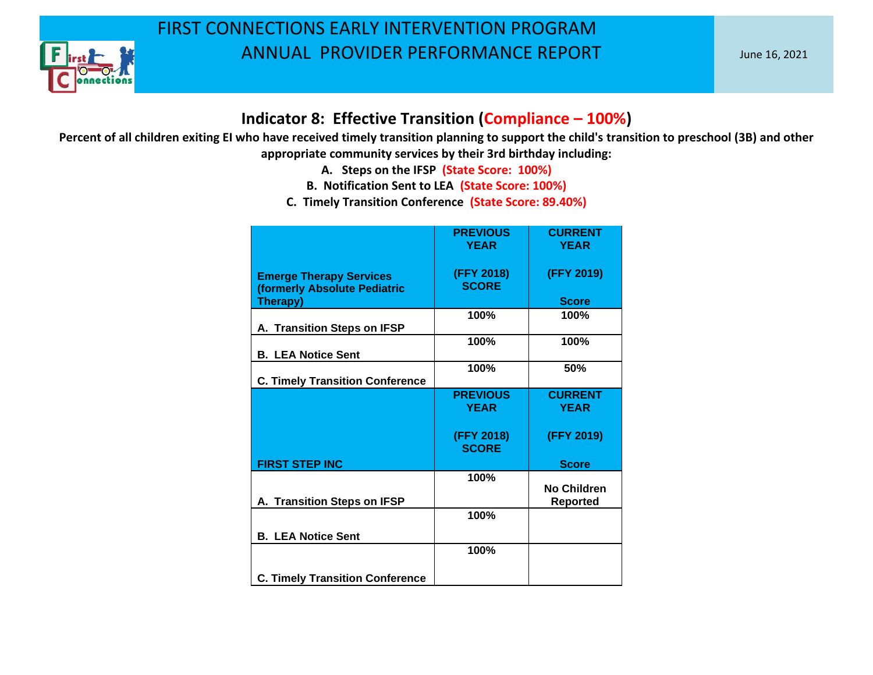

#### **Indicator 8: Effective Transition (Compliance – 100%)**

- **A. Steps on the IFSP (State Score: 100%)**
- **B. Notification Sent to LEA (State Score: 100%)**
- **C. Timely Transition Conference (State Score: 89.40%)**

|                                                                            | <b>PREVIOUS</b><br><b>YEAR</b> | <b>CURRENT</b><br><b>YEAR</b>  |
|----------------------------------------------------------------------------|--------------------------------|--------------------------------|
| <b>Emerge Therapy Services</b><br>(formerly Absolute Pediatric<br>Therapy) | (FFY 2018)<br><b>SCORE</b>     | (FFY 2019)<br><b>Score</b>     |
| A. Transition Steps on IFSP                                                | 100%                           | 100%                           |
| <b>B. LEA Notice Sent</b>                                                  | 100%                           | 100%                           |
| <b>C. Timely Transition Conference</b>                                     | 100%                           | 50%                            |
|                                                                            | <b>PREVIOUS</b><br><b>YEAR</b> | <b>CURRENT</b><br><b>YEAR</b>  |
|                                                                            | (FFY 2018)<br><b>SCORE</b>     | (FFY 2019)                     |
| <b>FIRST STEP INC</b>                                                      |                                | <b>Score</b>                   |
| A. Transition Steps on IFSP                                                | 100%                           | No Children<br><b>Reported</b> |
|                                                                            | 100%                           |                                |
| <b>B. LEA Notice Sent</b>                                                  |                                |                                |
|                                                                            | 100%                           |                                |
| <b>C. Timely Transition Conference</b>                                     |                                |                                |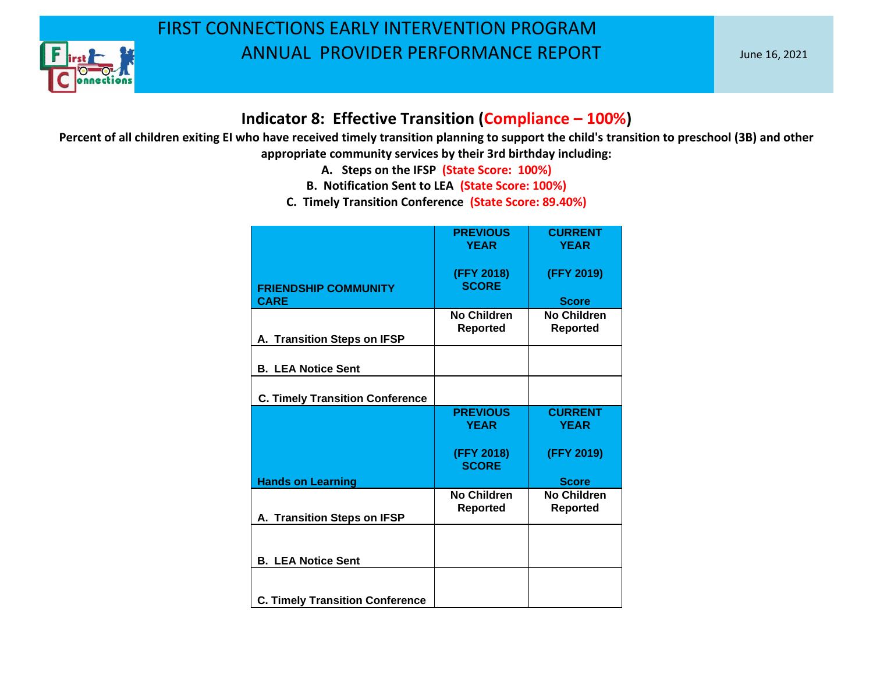

#### **Indicator 8: Effective Transition (Compliance – 100%)**

- **A. Steps on the IFSP (State Score: 100%)**
- **B. Notification Sent to LEA (State Score: 100%)**
- **C. Timely Transition Conference (State Score: 89.40%)**

|                                                                     | <b>PREVIOUS</b><br><b>YEAR</b>        | <b>CURRENT</b><br><b>YEAR</b>         |
|---------------------------------------------------------------------|---------------------------------------|---------------------------------------|
| <b>FRIENDSHIP COMMUNITY</b>                                         | (FFY 2018)<br><b>SCORE</b>            | (FFY 2019)                            |
| <b>CARE</b>                                                         |                                       | <b>Score</b>                          |
| A. Transition Steps on IFSP                                         | <b>No Children</b><br><b>Reported</b> | <b>No Children</b><br><b>Reported</b> |
| <b>B. LEA Notice Sent</b>                                           |                                       |                                       |
| <b>C. Timely Transition Conference</b>                              |                                       |                                       |
|                                                                     | <b>PREVIOUS</b><br><b>YEAR</b>        | <b>CURRENT</b><br><b>YEAR</b>         |
|                                                                     | (FFY 2018)<br><b>SCORE</b>            | (FFY 2019)                            |
| <b>Hands on Learning</b>                                            |                                       | <b>Score</b>                          |
| A. Transition Steps on IFSP                                         | No Children<br><b>Reported</b>        | <b>No Children</b><br><b>Reported</b> |
|                                                                     |                                       |                                       |
| <b>B. LEA Notice Sent</b><br><b>C. Timely Transition Conference</b> |                                       |                                       |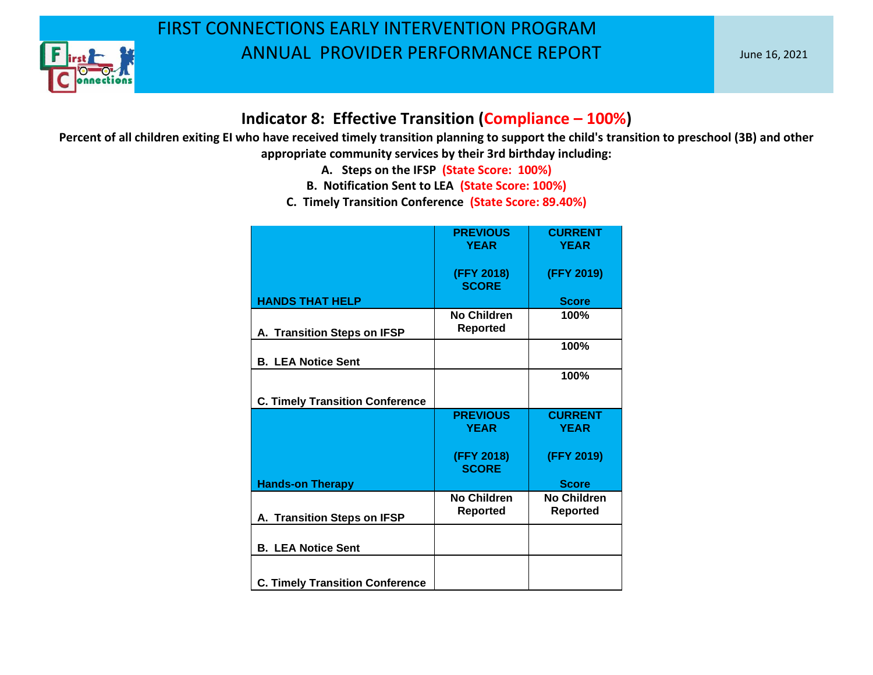

#### **Indicator 8: Effective Transition (Compliance – 100%)**

- **A. Steps on the IFSP (State Score: 100%)**
- **B. Notification Sent to LEA (State Score: 100%)**
- **C. Timely Transition Conference (State Score: 89.40%)**

|                                        | <b>PREVIOUS</b><br><b>YEAR</b>        | <b>CURRENT</b><br><b>YEAR</b>         |
|----------------------------------------|---------------------------------------|---------------------------------------|
|                                        |                                       |                                       |
|                                        | (FFY 2018)<br><b>SCORE</b>            | (FFY 2019)                            |
| <b>HANDS THAT HELP</b>                 |                                       | <b>Score</b>                          |
| A. Transition Steps on IFSP            | <b>No Children</b><br><b>Reported</b> | 100%                                  |
| <b>B. LEA Notice Sent</b>              |                                       | 100%                                  |
|                                        |                                       | 100%                                  |
| <b>C. Timely Transition Conference</b> |                                       |                                       |
|                                        | <b>PREVIOUS</b><br><b>YEAR</b>        | <b>CURRENT</b><br><b>YEAR</b>         |
|                                        | (FFY 2018)<br><b>SCORE</b>            | (FFY 2019)                            |
| <b>Hands-on Therapy</b>                |                                       | <b>Score</b>                          |
| A. Transition Steps on IFSP            | <b>No Children</b><br><b>Reported</b> | <b>No Children</b><br><b>Reported</b> |
| <b>B. LEA Notice Sent</b>              |                                       |                                       |
| <b>C. Timely Transition Conference</b> |                                       |                                       |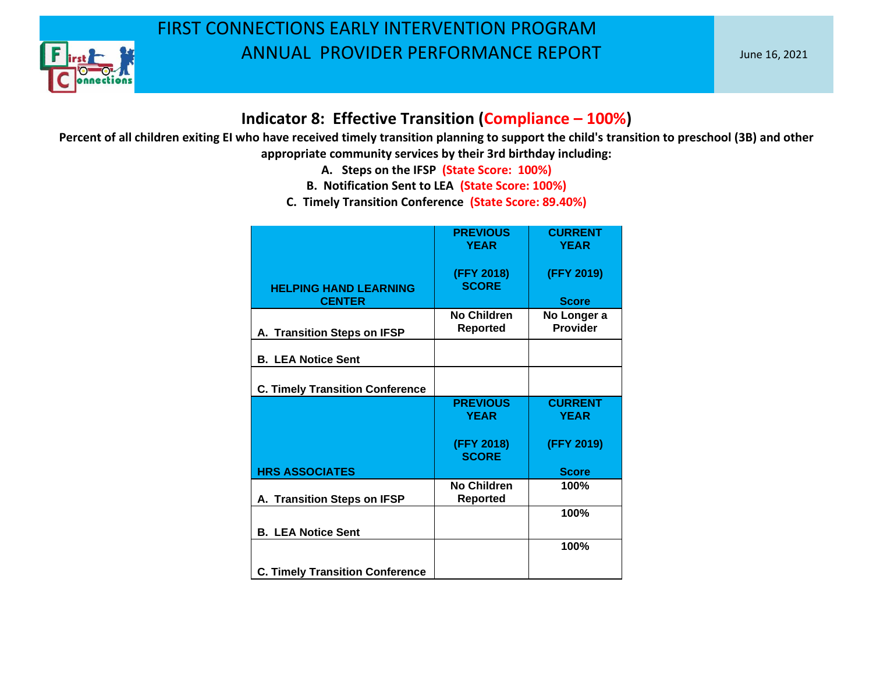

#### **Indicator 8: Effective Transition (Compliance – 100%)**

- **A. Steps on the IFSP (State Score: 100%)**
- **B. Notification Sent to LEA (State Score: 100%)**
- **C. Timely Transition Conference (State Score: 89.40%)**

|                                               | <b>PREVIOUS</b><br><b>YEAR</b>        | <b>CURRENT</b><br><b>YEAR</b>  |
|-----------------------------------------------|---------------------------------------|--------------------------------|
| <b>HELPING HAND LEARNING</b><br><b>CENTER</b> | (FFY 2018)<br><b>SCORE</b>            | (FFY 2019)<br><b>Score</b>     |
| A. Transition Steps on IFSP                   | No Children<br>Reported               | No Longer a<br><b>Provider</b> |
| <b>B. LEA Notice Sent</b>                     |                                       |                                |
| <b>C. Timely Transition Conference</b>        |                                       |                                |
|                                               | <b>PREVIOUS</b><br><b>YEAR</b>        | <b>CURRENT</b><br><b>YEAR</b>  |
|                                               | (FFY 2018)<br><b>SCORE</b>            | (FFY 2019)                     |
| <b>HRS ASSOCIATES</b>                         |                                       | <b>Score</b>                   |
| A. Transition Steps on IFSP                   | <b>No Children</b><br><b>Reported</b> | 100%                           |
| <b>B. LEA Notice Sent</b>                     |                                       | 100%                           |
|                                               |                                       | 100%                           |
| <b>C. Timely Transition Conference</b>        |                                       |                                |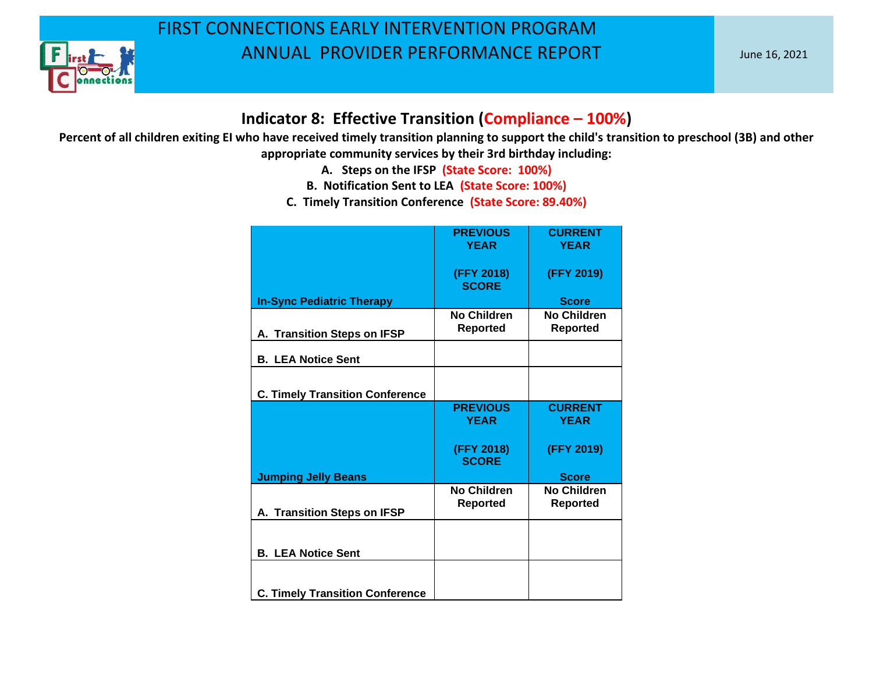

#### **Indicator 8: Effective Transition (Compliance – 100%)**

- **A. Steps on the IFSP (State Score: 100%)**
- **B. Notification Sent to LEA (State Score: 100%)**
- **C. Timely Transition Conference (State Score: 89.40%)**

|                                        | <b>PREVIOUS</b>                       | <b>CURRENT</b>                        |
|----------------------------------------|---------------------------------------|---------------------------------------|
|                                        | <b>YEAR</b>                           | <b>YEAR</b>                           |
|                                        | (FFY 2018)<br><b>SCORE</b>            | (FFY 2019)                            |
| <b>In-Sync Pediatric Therapy</b>       |                                       | <b>Score</b>                          |
| A. Transition Steps on IFSP            | No Children<br><b>Reported</b>        | <b>No Children</b><br><b>Reported</b> |
| <b>B. LEA Notice Sent</b>              |                                       |                                       |
| <b>C. Timely Transition Conference</b> |                                       |                                       |
|                                        | <b>PREVIOUS</b><br><b>YEAR</b>        | <b>CURRENT</b><br><b>YEAR</b>         |
|                                        | (FFY 2018)<br><b>SCORE</b>            | (FFY 2019)                            |
| <b>Jumping Jelly Beans</b>             |                                       | <b>Score</b>                          |
| A. Transition Steps on IFSP            | <b>No Children</b><br><b>Reported</b> | <b>No Children</b><br><b>Reported</b> |
| <b>B. LEA Notice Sent</b>              |                                       |                                       |
|                                        |                                       |                                       |
| <b>C. Timely Transition Conference</b> |                                       |                                       |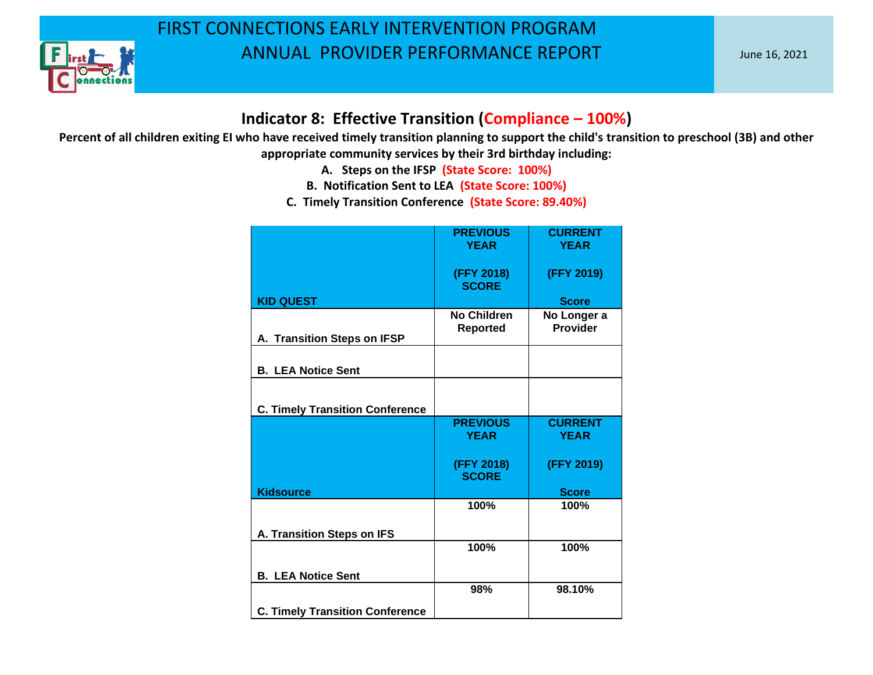

#### **Indicator 8: Effective Transition (Compliance – 100%)**

- **A. Steps on the IFSP (State Score: 100%)**
- **B. Notification Sent to LEA (State Score: 100%)**
- **C. Timely Transition Conference (State Score: 89.40%)**

|                                        | <b>PREVIOUS</b><br><b>YEAR</b>        | <b>CURRENT</b><br><b>YEAR</b>  |
|----------------------------------------|---------------------------------------|--------------------------------|
|                                        | (FFY 2018)<br><b>SCORE</b>            | (FFY 2019)                     |
| <b>KID QUEST</b>                       |                                       | <b>Score</b>                   |
| A. Transition Steps on IFSP            | <b>No Children</b><br><b>Reported</b> | No Longer a<br><b>Provider</b> |
| <b>B. LEA Notice Sent</b>              |                                       |                                |
| <b>C. Timely Transition Conference</b> |                                       |                                |
|                                        | <b>PREVIOUS</b><br><b>YEAR</b>        | <b>CURRENT</b><br><b>YEAR</b>  |
|                                        | (FFY 2018)<br><b>SCORE</b>            | (FFY 2019)                     |
| <b>Kidsource</b>                       |                                       | <b>Score</b>                   |
|                                        | 100%                                  | 100%                           |
| A. Transition Steps on IFS             |                                       |                                |
|                                        | 100%                                  | 100%                           |
| <b>B. LEA Notice Sent</b>              |                                       |                                |
|                                        | 98%                                   | 98.10%                         |
| <b>C. Timely Transition Conference</b> |                                       |                                |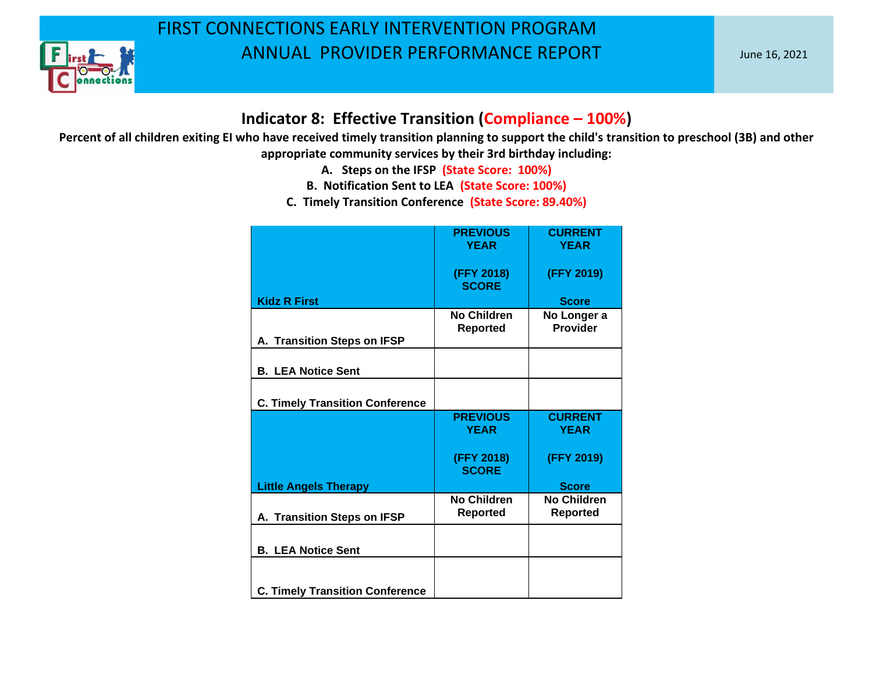

#### **Indicator 8: Effective Transition (Compliance – 100%)**

- **A. Steps on the IFSP (State Score: 100%)**
- **B. Notification Sent to LEA (State Score: 100%)**
- **C. Timely Transition Conference (State Score: 89.40%)**

|                                        | <b>PREVIOUS</b><br><b>YEAR</b>        | <b>CURRENT</b><br><b>YEAR</b>         |
|----------------------------------------|---------------------------------------|---------------------------------------|
|                                        | (FFY 2018)<br><b>SCORE</b>            | (FFY 2019)                            |
| <b>Kidz R First</b>                    |                                       | <b>Score</b>                          |
| A. Transition Steps on IFSP            | <b>No Children</b><br><b>Reported</b> | No Longer a<br><b>Provider</b>        |
| <b>B. LEA Notice Sent</b>              |                                       |                                       |
| <b>C. Timely Transition Conference</b> |                                       |                                       |
|                                        | <b>PREVIOUS</b><br><b>YEAR</b>        | <b>CURRENT</b><br><b>YEAR</b>         |
|                                        | (FFY 2018)<br><b>SCORE</b>            | (FFY 2019)                            |
| <b>Little Angels Therapy</b>           |                                       | <b>Score</b>                          |
| A. Transition Steps on IFSP            | <b>No Children</b><br><b>Reported</b> | <b>No Children</b><br><b>Reported</b> |
| <b>B. LEA Notice Sent</b>              |                                       |                                       |
| <b>C. Timely Transition Conference</b> |                                       |                                       |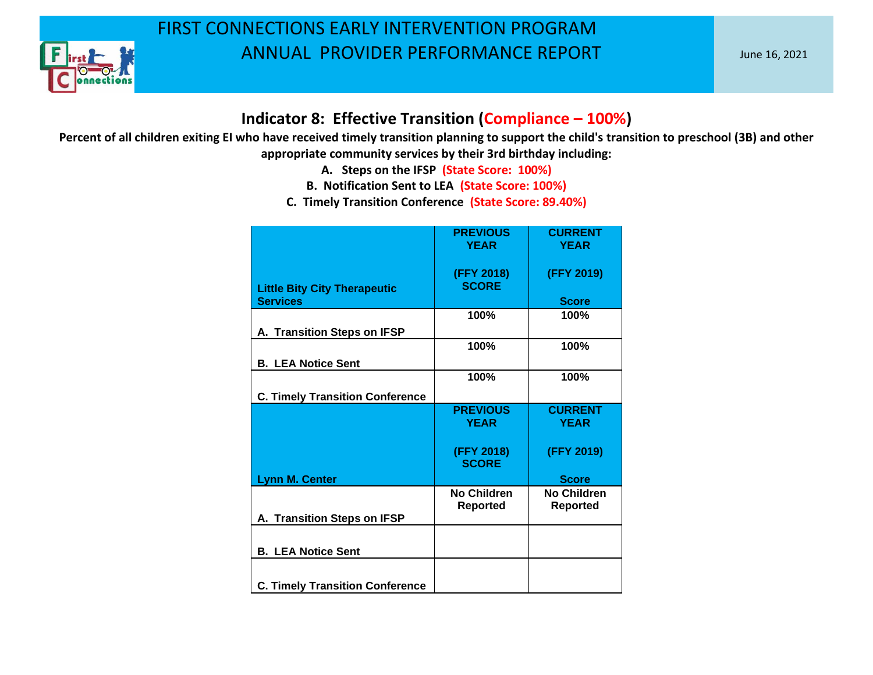

#### **Indicator 8: Effective Transition (Compliance – 100%)**

- **A. Steps on the IFSP (State Score: 100%)**
- **B. Notification Sent to LEA (State Score: 100%)**
- **C. Timely Transition Conference (State Score: 89.40%)**

|                                        | <b>PREVIOUS</b> | <b>CURRENT</b>     |
|----------------------------------------|-----------------|--------------------|
|                                        |                 |                    |
|                                        | <b>YEAR</b>     | <b>YEAR</b>        |
|                                        |                 |                    |
|                                        |                 |                    |
|                                        | (FFY 2018)      | (FFY 2019)         |
| <b>Little Bity City Therapeutic</b>    | <b>SCORE</b>    |                    |
|                                        |                 |                    |
| <b>Services</b>                        |                 | <b>Score</b>       |
|                                        | 100%            | 100%               |
|                                        |                 |                    |
| A. Transition Steps on IFSP            |                 |                    |
|                                        |                 |                    |
|                                        | 100%            | 100%               |
|                                        |                 |                    |
| <b>B. LEA Notice Sent</b>              |                 |                    |
|                                        | 100%            | 100%               |
|                                        |                 |                    |
| <b>C. Timely Transition Conference</b> |                 |                    |
|                                        |                 |                    |
|                                        | <b>PREVIOUS</b> | <b>CURRENT</b>     |
|                                        | <b>YEAR</b>     | <b>YEAR</b>        |
|                                        |                 |                    |
|                                        |                 |                    |
|                                        | (FFY 2018)      | (FFY 2019)         |
|                                        | <b>SCORE</b>    |                    |
|                                        |                 |                    |
| <b>Lynn M. Center</b>                  |                 | <b>Score</b>       |
|                                        |                 |                    |
|                                        | No Children     | <b>No Children</b> |
|                                        | <b>Reported</b> | <b>Reported</b>    |
| A. Transition Steps on IFSP            |                 |                    |
|                                        |                 |                    |
|                                        |                 |                    |
|                                        |                 |                    |
| <b>B. LEA Notice Sent</b>              |                 |                    |
|                                        |                 |                    |
|                                        |                 |                    |
|                                        |                 |                    |
| <b>C. Timely Transition Conference</b> |                 |                    |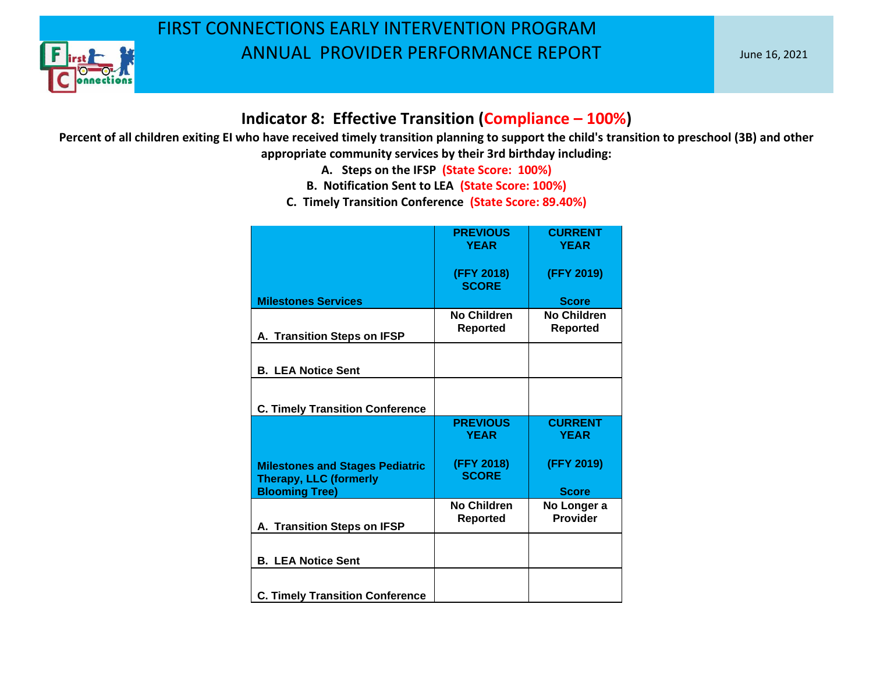

#### **Indicator 8: Effective Transition (Compliance – 100%)**

- **A. Steps on the IFSP (State Score: 100%)**
- **B. Notification Sent to LEA (State Score: 100%)**
- **C. Timely Transition Conference (State Score: 89.40%)**

|                                                                         | <b>PREVIOUS</b><br><b>YEAR</b>        | <b>CURRENT</b><br><b>YEAR</b>  |
|-------------------------------------------------------------------------|---------------------------------------|--------------------------------|
|                                                                         | (FFY 2018)<br><b>SCORE</b>            | (FFY 2019)                     |
| <b>Milestones Services</b>                                              |                                       | <b>Score</b>                   |
| A. Transition Steps on IFSP                                             | No Children<br><b>Reported</b>        | No Children<br><b>Reported</b> |
| <b>B. LEA Notice Sent</b>                                               |                                       |                                |
| <b>C. Timely Transition Conference</b>                                  |                                       |                                |
|                                                                         | <b>PREVIOUS</b><br><b>YEAR</b>        | <b>CURRENT</b><br><b>YEAR</b>  |
| <b>Milestones and Stages Pediatric</b><br><b>Therapy, LLC (formerly</b> | (FFY 2018)<br><b>SCORE</b>            | (FFY 2019)                     |
| <b>Blooming Tree)</b>                                                   |                                       | <b>Score</b>                   |
| A. Transition Steps on IFSP                                             | <b>No Children</b><br><b>Reported</b> | No Longer a<br>Provider        |
| <b>B. LEA Notice Sent</b>                                               |                                       |                                |
| <b>C. Timely Transition Conference</b>                                  |                                       |                                |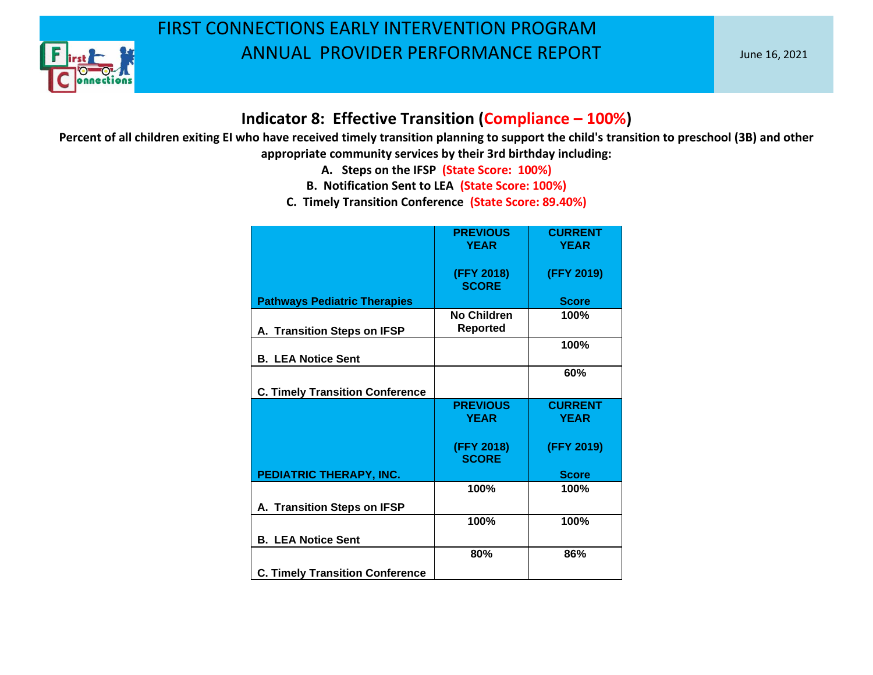

#### **Indicator 8: Effective Transition (Compliance – 100%)**

- **A. Steps on the IFSP (State Score: 100%)**
- **B. Notification Sent to LEA (State Score: 100%)**
- **C. Timely Transition Conference (State Score: 89.40%)**

|                                        | <b>PREVIOUS</b><br><b>YEAR</b>        | <b>CURRENT</b><br><b>YEAR</b> |
|----------------------------------------|---------------------------------------|-------------------------------|
|                                        | (FFY 2018)<br><b>SCORE</b>            | (FFY 2019)                    |
| <b>Pathways Pediatric Therapies</b>    |                                       | <b>Score</b>                  |
| A. Transition Steps on IFSP            | <b>No Children</b><br><b>Reported</b> | 100%                          |
| <b>B. LEA Notice Sent</b>              |                                       | 100%                          |
| <b>C. Timely Transition Conference</b> |                                       | 60%                           |
|                                        | <b>PREVIOUS</b><br><b>YEAR</b>        | <b>CURRENT</b><br><b>YEAR</b> |
|                                        | (FFY 2018)<br><b>SCORE</b>            | (FFY 2019)                    |
| PEDIATRIC THERAPY, INC.                |                                       | <b>Score</b>                  |
|                                        | 100%                                  | 100%                          |
| A. Transition Steps on IFSP            |                                       |                               |
|                                        | 100%                                  | 100%                          |
| <b>B. LEA Notice Sent</b>              |                                       |                               |
|                                        | 80%                                   | 86%                           |
| <b>C. Timely Transition Conference</b> |                                       |                               |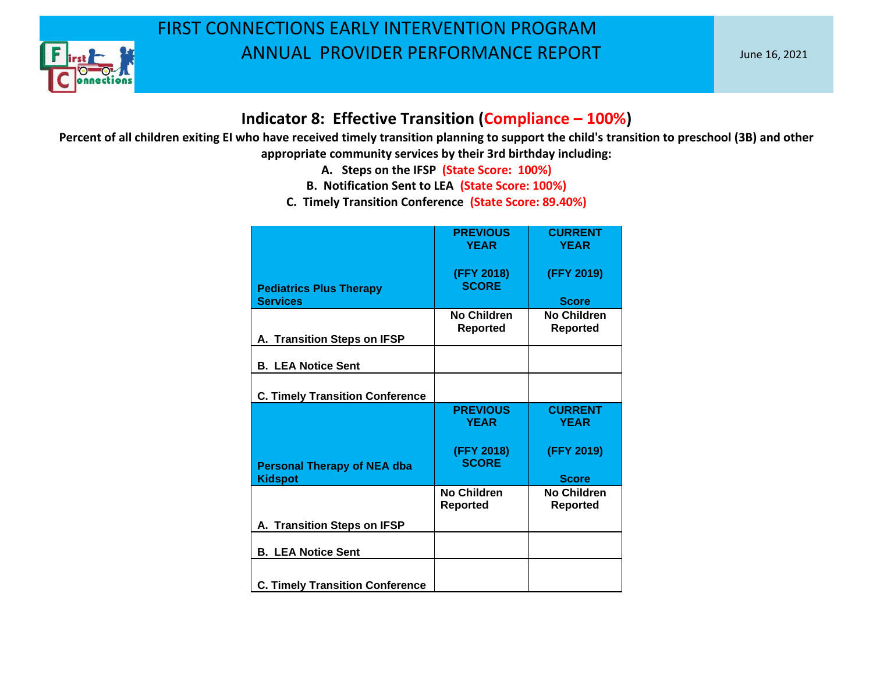

#### **Indicator 8: Effective Transition (Compliance – 100%)**

- **A. Steps on the IFSP (State Score: 100%)**
- **B. Notification Sent to LEA (State Score: 100%)**
- **C. Timely Transition Conference (State Score: 89.40%)**

|                                                      | <b>PREVIOUS</b><br><b>YEAR</b> | <b>CURRENT</b><br><b>YEAR</b>         |
|------------------------------------------------------|--------------------------------|---------------------------------------|
| <b>Pediatrics Plus Therapy</b><br><b>Services</b>    | (FFY 2018)<br><b>SCORE</b>     | (FFY 2019)<br><b>Score</b>            |
| A. Transition Steps on IFSP                          | No Children<br><b>Reported</b> | <b>No Children</b><br>Reported        |
| <b>B. LEA Notice Sent</b>                            |                                |                                       |
| <b>C. Timely Transition Conference</b>               |                                |                                       |
|                                                      | <b>PREVIOUS</b><br><b>YEAR</b> | <b>CURRENT</b><br><b>YEAR</b>         |
| <b>Personal Therapy of NEA dba</b><br><b>Kidspot</b> | (FFY 2018)<br><b>SCORE</b>     | (FFY 2019)<br><b>Score</b>            |
|                                                      | No Children<br><b>Reported</b> | <b>No Children</b><br><b>Reported</b> |
| A. Transition Steps on IFSP                          |                                |                                       |
| <b>B. LEA Notice Sent</b>                            |                                |                                       |
| <b>C. Timely Transition Conference</b>               |                                |                                       |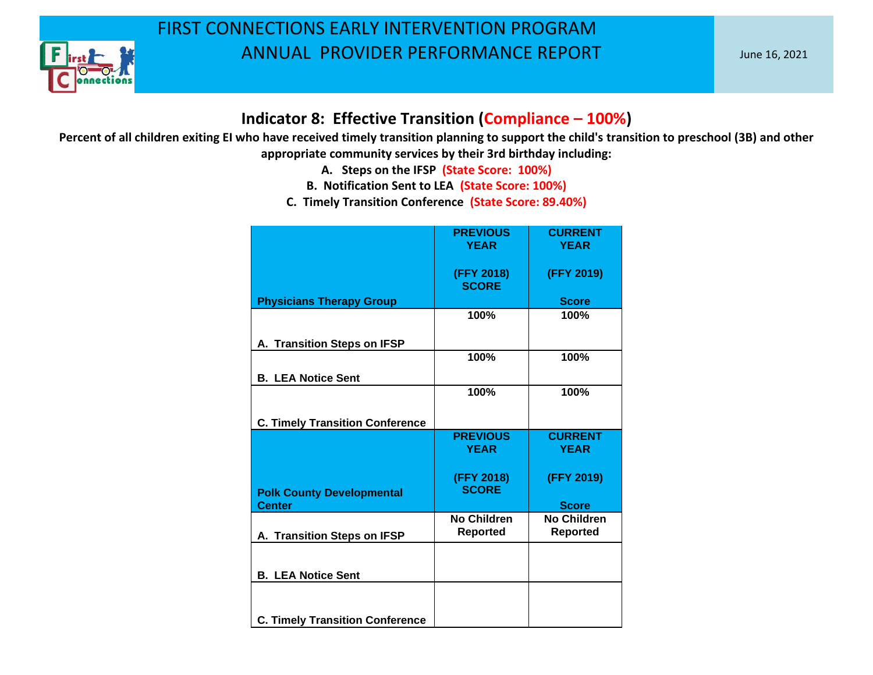

#### **Indicator 8: Effective Transition (Compliance – 100%)**

- **A. Steps on the IFSP (State Score: 100%)**
- **B. Notification Sent to LEA (State Score: 100%)**
- **C. Timely Transition Conference (State Score: 89.40%)**

|                                        | <b>PREVIOUS</b><br><b>YEAR</b> | <b>CURRENT</b><br><b>YEAR</b> |
|----------------------------------------|--------------------------------|-------------------------------|
|                                        |                                |                               |
|                                        | (FFY 2018)<br><b>SCORE</b>     | (FFY 2019)                    |
| <b>Physicians Therapy Group</b>        |                                | <b>Score</b>                  |
|                                        | 100%                           | 100%                          |
| A. Transition Steps on IFSP            |                                |                               |
|                                        | 100%                           | 100%                          |
| <b>B. LEA Notice Sent</b>              |                                |                               |
|                                        | 100%                           | 100%                          |
|                                        |                                |                               |
| <b>C. Timely Transition Conference</b> |                                |                               |
|                                        | <b>PREVIOUS</b>                | <b>CURRENT</b>                |
|                                        | <b>YEAR</b>                    | <b>YEAR</b>                   |
|                                        | (FFY 2018)                     | (FFY 2019)                    |
| <b>Polk County Developmental</b>       | <b>SCORE</b>                   |                               |
| <b>Center</b>                          |                                |                               |
|                                        |                                | <b>Score</b>                  |
|                                        | <b>No Children</b>             | <b>No Children</b>            |
| A. Transition Steps on IFSP            | <b>Reported</b>                | <b>Reported</b>               |
|                                        |                                |                               |
| <b>B. LEA Notice Sent</b>              |                                |                               |
|                                        |                                |                               |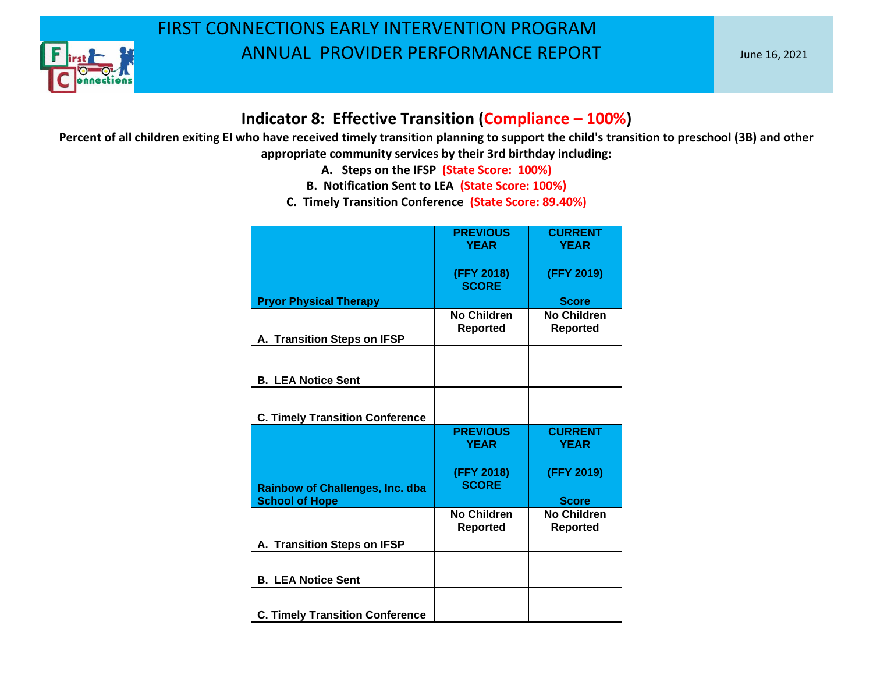

#### **Indicator 8: Effective Transition (Compliance – 100%)**

- **A. Steps on the IFSP (State Score: 100%)**
- **B. Notification Sent to LEA (State Score: 100%)**
- **C. Timely Transition Conference (State Score: 89.40%)**

|                                        | <b>PREVIOUS</b><br><b>YEAR</b>        | <b>CURRENT</b><br><b>YEAR</b>         |
|----------------------------------------|---------------------------------------|---------------------------------------|
|                                        |                                       |                                       |
|                                        | (FFY 2018)<br><b>SCORE</b>            | (FFY 2019)                            |
| <b>Pryor Physical Therapy</b>          |                                       | <b>Score</b>                          |
| A. Transition Steps on IFSP            | <b>No Children</b><br><b>Reported</b> | <b>No Children</b><br><b>Reported</b> |
|                                        |                                       |                                       |
| <b>B. LEA Notice Sent</b>              |                                       |                                       |
|                                        |                                       |                                       |
| <b>C. Timely Transition Conference</b> |                                       |                                       |
|                                        | <b>PREVIOUS</b><br><b>YEAR</b>        | <b>CURRENT</b><br><b>YEAR</b>         |
| <b>Rainbow of Challenges, Inc. dba</b> | (FFY 2018)<br><b>SCORE</b>            | (FFY 2019)                            |
| <b>School of Hope</b>                  |                                       | <b>Score</b>                          |
|                                        | No Children<br><b>Reported</b>        | <b>No Children</b><br><b>Reported</b> |
| A. Transition Steps on IFSP            |                                       |                                       |
|                                        |                                       |                                       |
| <b>B. LEA Notice Sent</b>              |                                       |                                       |
| <b>C. Timely Transition Conference</b> |                                       |                                       |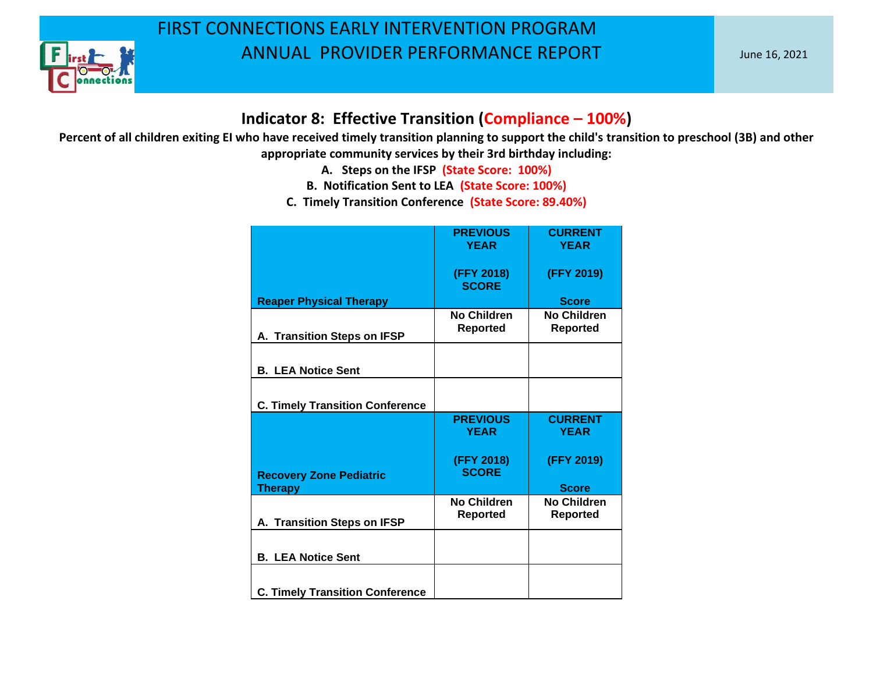

#### **Indicator 8: Effective Transition (Compliance – 100%)**

- **A. Steps on the IFSP (State Score: 100%)**
- **B. Notification Sent to LEA (State Score: 100%)**
- **C. Timely Transition Conference (State Score: 89.40%)**

|                                        | <b>PREVIOUS</b><br><b>YEAR</b>        | <b>CURRENT</b><br><b>YEAR</b>         |
|----------------------------------------|---------------------------------------|---------------------------------------|
|                                        | (FFY 2018)<br><b>SCORE</b>            | (FFY 2019)                            |
| <b>Reaper Physical Therapy</b>         |                                       | <b>Score</b>                          |
| A. Transition Steps on IFSP            | No Children<br><b>Reported</b>        | <b>No Children</b><br><b>Reported</b> |
| <b>B. LEA Notice Sent</b>              |                                       |                                       |
| <b>C. Timely Transition Conference</b> |                                       |                                       |
|                                        | <b>PREVIOUS</b><br><b>YEAR</b>        | <b>CURRENT</b><br><b>YEAR</b>         |
| <b>Recovery Zone Pediatric</b>         | (FFY 2018)<br><b>SCORE</b>            | (FFY 2019)                            |
| <b>Therapy</b>                         |                                       | <b>Score</b>                          |
| A. Transition Steps on IFSP            | <b>No Children</b><br><b>Reported</b> | <b>No Children</b><br><b>Reported</b> |
| <b>B. LEA Notice Sent</b>              |                                       |                                       |
| <b>C. Timely Transition Conference</b> |                                       |                                       |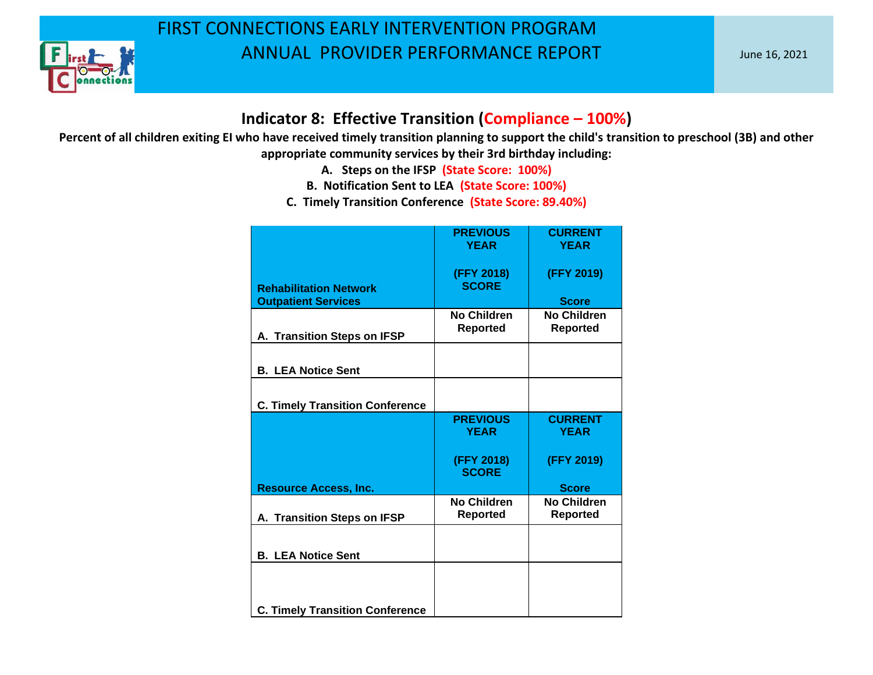

#### **Indicator 8: Effective Transition (Compliance – 100%)**

- **A. Steps on the IFSP (State Score: 100%)**
- **B. Notification Sent to LEA (State Score: 100%)**
- **C. Timely Transition Conference (State Score: 89.40%)**

|                                        | <b>PREVIOUS</b>    | <b>CURRENT</b>     |
|----------------------------------------|--------------------|--------------------|
|                                        | <b>YEAR</b>        | <b>YEAR</b>        |
|                                        |                    |                    |
|                                        | (FFY 2018)         | (FFY 2019)         |
| <b>Rehabilitation Network</b>          | <b>SCORE</b>       |                    |
| <b>Outpatient Services</b>             |                    | <b>Score</b>       |
|                                        | <b>No Children</b> | <b>No Children</b> |
|                                        | <b>Reported</b>    | <b>Reported</b>    |
| A. Transition Steps on IFSP            |                    |                    |
|                                        |                    |                    |
|                                        |                    |                    |
| <b>B. LEA Notice Sent</b>              |                    |                    |
|                                        |                    |                    |
| <b>C. Timely Transition Conference</b> |                    |                    |
|                                        | <b>PREVIOUS</b>    | <b>CURRENT</b>     |
|                                        | <b>YEAR</b>        | <b>YEAR</b>        |
|                                        |                    |                    |
|                                        |                    |                    |
|                                        | (FFY 2018)         | (FFY 2019)         |
|                                        | <b>SCORE</b>       |                    |
| <b>Resource Access, Inc.</b>           |                    | <b>Score</b>       |
|                                        | <b>No Children</b> | <b>No Children</b> |
| A. Transition Steps on IFSP            | <b>Reported</b>    | <b>Reported</b>    |
|                                        |                    |                    |
|                                        |                    |                    |
| <b>B. LEA Notice Sent</b>              |                    |                    |
|                                        |                    |                    |
|                                        |                    |                    |
|                                        |                    |                    |
|                                        |                    |                    |
| <b>C. Timely Transition Conference</b> |                    |                    |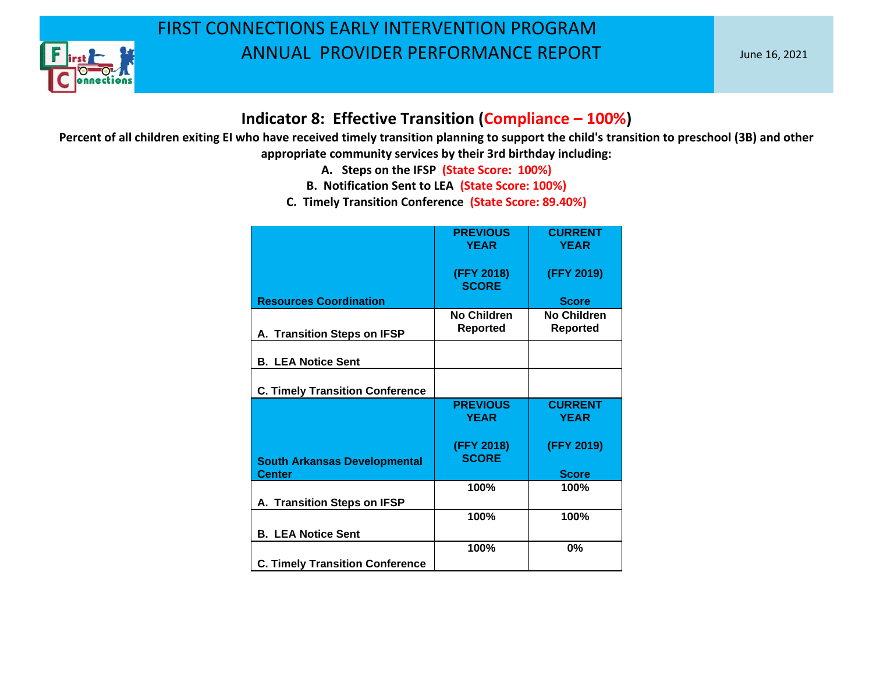

#### **Indicator 8: Effective Transition (Compliance – 100%)**

- **A. Steps on the IFSP (State Score: 100%)**
- **B. Notification Sent to LEA (State Score: 100%)**
- **C. Timely Transition Conference (State Score: 89.40%)**

|                                        | <b>PREVIOUS</b><br><b>YEAR</b> | <b>CURRENT</b><br><b>YEAR</b>         |
|----------------------------------------|--------------------------------|---------------------------------------|
|                                        | (FFY 2018)<br><b>SCORE</b>     | (FFY 2019)                            |
| <b>Resources Coordination</b>          |                                | <b>Score</b>                          |
| A. Transition Steps on IFSP            | No Children<br><b>Reported</b> | <b>No Children</b><br><b>Reported</b> |
| <b>B. LEA Notice Sent</b>              |                                |                                       |
| <b>C. Timely Transition Conference</b> |                                |                                       |
|                                        | <b>PREVIOUS</b><br><b>YEAR</b> | <b>CURRENT</b><br><b>YEAR</b>         |
| <b>South Arkansas Developmental</b>    | (FFY 2018)<br><b>SCORE</b>     | (FFY 2019)                            |
| <b>Center</b>                          |                                | <b>Score</b>                          |
| A. Transition Steps on IFSP            | 100%                           | 100%                                  |
|                                        | 100%                           | 100%                                  |
| <b>B. LEA Notice Sent</b>              |                                |                                       |
|                                        | 100%                           | 0%                                    |
| <b>C. Timely Transition Conference</b> |                                |                                       |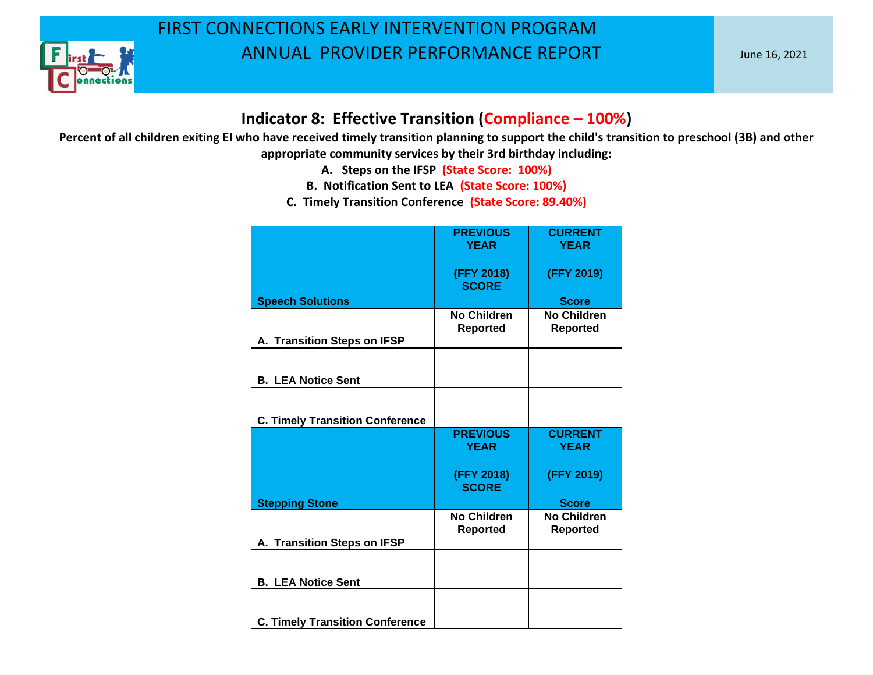

#### **Indicator 8: Effective Transition (Compliance – 100%)**

- **A. Steps on the IFSP (State Score: 100%)**
- **B. Notification Sent to LEA (State Score: 100%)**
- **C. Timely Transition Conference (State Score: 89.40%)**

|                                        | <b>PREVIOUS</b><br><b>YEAR</b>        | <b>CURRENT</b><br><b>YEAR</b>         |
|----------------------------------------|---------------------------------------|---------------------------------------|
|                                        | (FFY 2018)<br><b>SCORE</b>            | (FFY 2019)                            |
| <b>Speech Solutions</b>                |                                       | <b>Score</b>                          |
| A. Transition Steps on IFSP            | <b>No Children</b><br><b>Reported</b> | <b>No Children</b><br><b>Reported</b> |
|                                        |                                       |                                       |
| <b>B. LEA Notice Sent</b>              |                                       |                                       |
|                                        |                                       |                                       |
| <b>C. Timely Transition Conference</b> |                                       |                                       |
|                                        | <b>PREVIOUS</b><br><b>YEAR</b>        | <b>CURRENT</b><br><b>YEAR</b>         |
|                                        | (FFY 2018)<br><b>SCORE</b>            | (FFY 2019)                            |
| <b>Stepping Stone</b>                  |                                       | <b>Score</b>                          |
|                                        | No Children<br><b>Reported</b>        | No Children<br><b>Reported</b>        |
| A. Transition Steps on IFSP            |                                       |                                       |
|                                        |                                       |                                       |
| <b>B. LEA Notice Sent</b>              |                                       |                                       |
|                                        |                                       |                                       |
| <b>C. Timely Transition Conference</b> |                                       |                                       |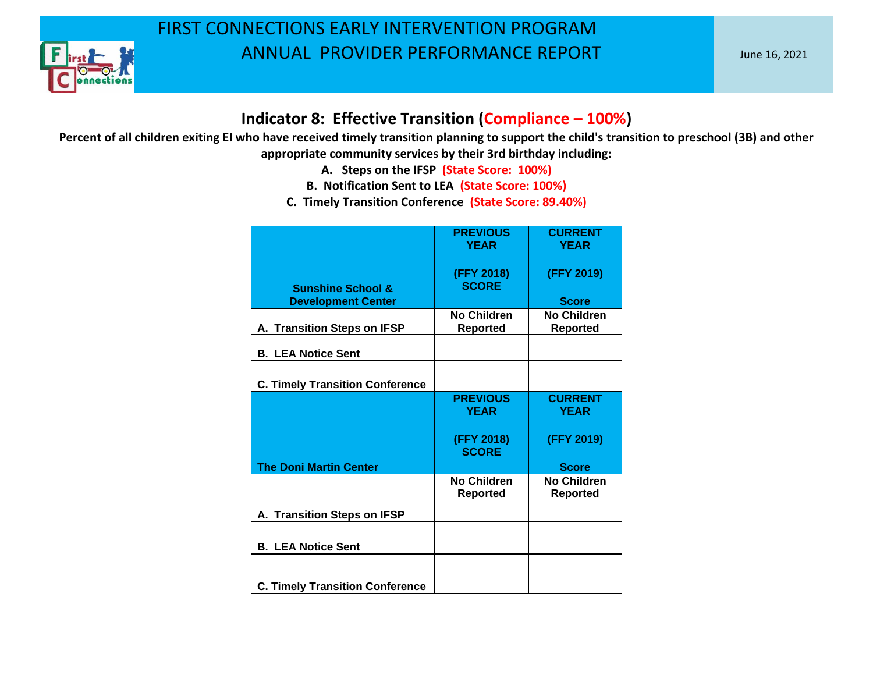

#### **Indicator 8: Effective Transition (Compliance – 100%)**

- **A. Steps on the IFSP (State Score: 100%)**
- **B. Notification Sent to LEA (State Score: 100%)**
- **C. Timely Transition Conference (State Score: 89.40%)**

|                                                           | <b>PREVIOUS</b><br><b>YEAR</b> | <b>CURRENT</b><br><b>YEAR</b>         |
|-----------------------------------------------------------|--------------------------------|---------------------------------------|
|                                                           |                                |                                       |
|                                                           | (FFY 2018)<br><b>SCORE</b>     | (FFY 2019)                            |
| <b>Sunshine School &amp;</b><br><b>Development Center</b> |                                | <b>Score</b>                          |
| A. Transition Steps on IFSP                               | No Children<br><b>Reported</b> | <b>No Children</b><br><b>Reported</b> |
| <b>B. LEA Notice Sent</b>                                 |                                |                                       |
|                                                           |                                |                                       |
| <b>C. Timely Transition Conference</b>                    |                                |                                       |
|                                                           | <b>PREVIOUS</b>                | <b>CURRENT</b>                        |
|                                                           | <b>YEAR</b>                    | <b>YEAR</b>                           |
|                                                           | (FFY 2018)<br><b>SCORE</b>     | (FFY 2019)                            |
| <b>The Doni Martin Center</b>                             |                                | <b>Score</b>                          |
|                                                           | No Children<br><b>Reported</b> | <b>No Children</b><br><b>Reported</b> |
| A. Transition Steps on IFSP                               |                                |                                       |
|                                                           |                                |                                       |
| <b>B. LEA Notice Sent</b>                                 |                                |                                       |
| <b>C. Timely Transition Conference</b>                    |                                |                                       |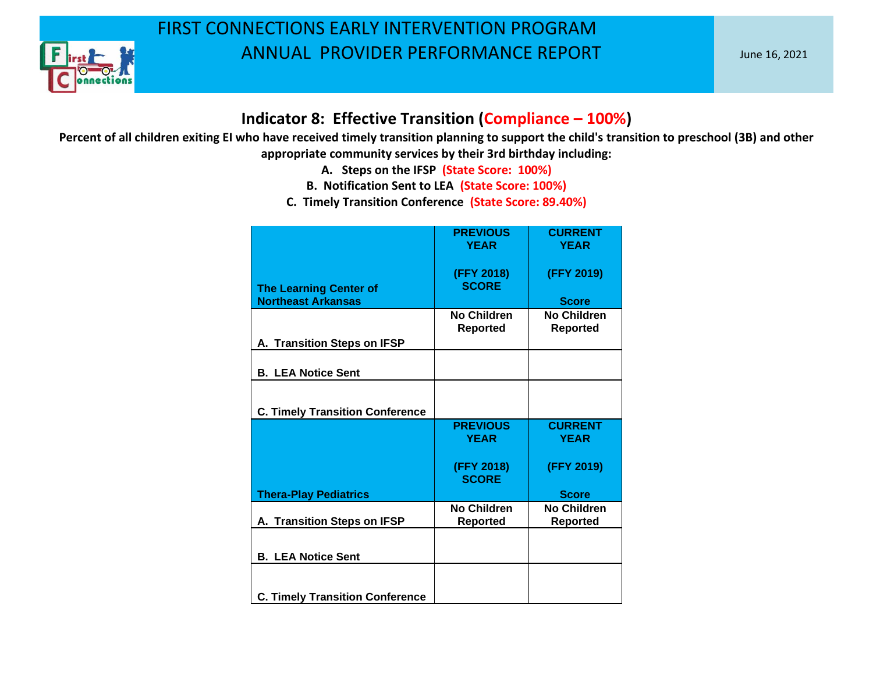

#### **Indicator 8: Effective Transition (Compliance – 100%)**

- **A. Steps on the IFSP (State Score: 100%)**
- **B. Notification Sent to LEA (State Score: 100%)**
- **C. Timely Transition Conference (State Score: 89.40%)**

|                                        | <b>PREVIOUS</b><br><b>YEAR</b>        | <b>CURRENT</b><br><b>YEAR</b>         |
|----------------------------------------|---------------------------------------|---------------------------------------|
| <b>The Learning Center of</b>          | (FFY 2018)<br><b>SCORE</b>            | (FFY 2019)                            |
| <b>Northeast Arkansas</b>              |                                       | <b>Score</b>                          |
|                                        | <b>No Children</b><br><b>Reported</b> | <b>No Children</b><br><b>Reported</b> |
| A. Transition Steps on IFSP            |                                       |                                       |
| <b>B. LEA Notice Sent</b>              |                                       |                                       |
| <b>C. Timely Transition Conference</b> |                                       |                                       |
|                                        | <b>PREVIOUS</b><br><b>YEAR</b>        | <b>CURRENT</b><br><b>YEAR</b>         |
|                                        | (FFY 2018)<br><b>SCORE</b>            | (FFY 2019)                            |
| <b>Thera-Play Pediatrics</b>           |                                       | <b>Score</b>                          |
| A. Transition Steps on IFSP            | <b>No Children</b><br><b>Reported</b> | <b>No Children</b><br><b>Reported</b> |
| <b>B. LEA Notice Sent</b>              |                                       |                                       |
| <b>C. Timely Transition Conference</b> |                                       |                                       |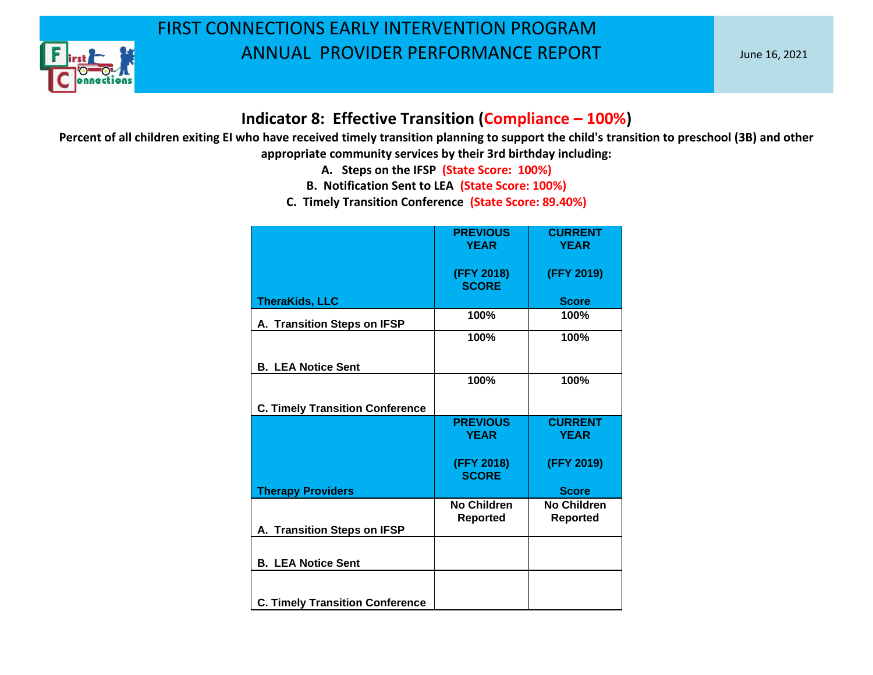

#### **Indicator 8: Effective Transition (Compliance – 100%)**

- **A. Steps on the IFSP (State Score: 100%)**
- **B. Notification Sent to LEA (State Score: 100%)**
- **C. Timely Transition Conference (State Score: 89.40%)**

|                                        | <b>PREVIOUS</b><br><b>YEAR</b> | <b>CURRENT</b><br><b>YEAR</b>         |
|----------------------------------------|--------------------------------|---------------------------------------|
|                                        | (FFY 2018)<br><b>SCORE</b>     | (FFY 2019)                            |
| <b>TheraKids, LLC</b>                  |                                | <b>Score</b>                          |
| A. Transition Steps on IFSP            | 100%                           | 100%                                  |
|                                        | 100%                           | 100%                                  |
| <b>B. LEA Notice Sent</b>              |                                |                                       |
|                                        | 100%                           | 100%                                  |
| <b>C. Timely Transition Conference</b> |                                |                                       |
|                                        | <b>PREVIOUS</b><br><b>YEAR</b> | <b>CURRENT</b><br><b>YEAR</b>         |
|                                        |                                |                                       |
|                                        | (FFY 2018)<br><b>SCORE</b>     | (FFY 2019)                            |
| <b>Therapy Providers</b>               |                                | <b>Score</b>                          |
|                                        | No Children<br><b>Reported</b> | <b>No Children</b><br><b>Reported</b> |
| A. Transition Steps on IFSP            |                                |                                       |
| <b>B. LEA Notice Sent</b>              |                                |                                       |
|                                        |                                |                                       |
| <b>C. Timely Transition Conference</b> |                                |                                       |